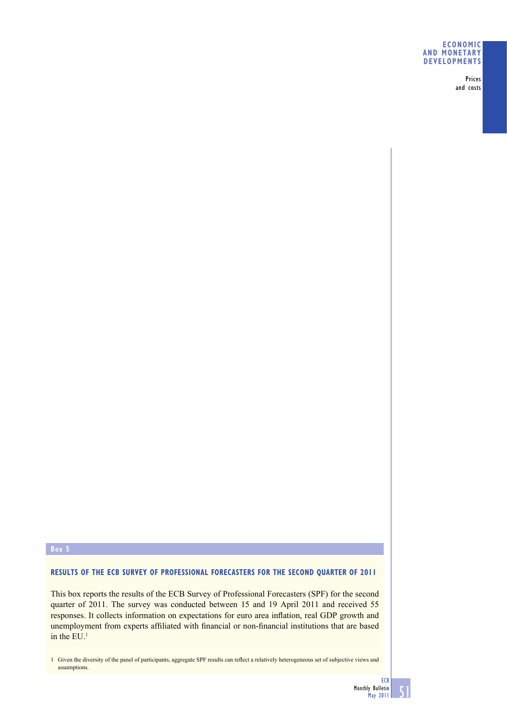## **ECONOMIC AND MONETARY DEVELOPMENTS**

Prices and costs

# **Box 5**

# **RESULTS OF THE ECB SURVEY OF PROFESSIONAL FORECASTERS FOR THE SECOND QUARTER OF 2011**

This box reports the results of the ECB Survey of Professional Forecasters (SPF) for the second quarter of 2011. The survey was conducted between 15 and 19 April 2011 and received 55 responses. It collects information on expectations for euro area inflation, real GDP growth and unemployment from experts affiliated with financial or non-financial institutions that are based in the  $EU<sup>1</sup>$ 

1 Given the diversity of the panel of participants, aggregate SPF results can reflect a relatively heterogeneous set of subjective views and assumptions.

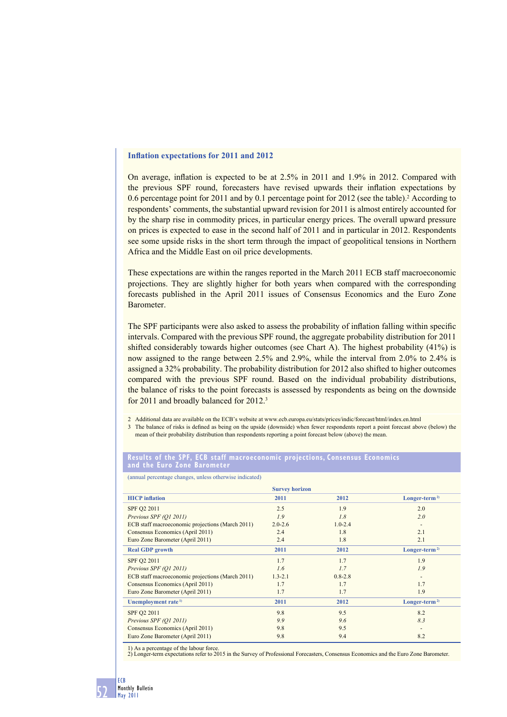## **Inflation expectations for 2011 and 2012**

On average, inflation is expected to be at  $2.5\%$  in 2011 and 1.9% in 2012. Compared with the previous SPF round, forecasters have revised upwards their inflation expectations by 0.6 percentage point for 2011 and by 0.1 percentage point for 2012 (see the table).<sup>2</sup> According to respondents' comments, the substantial upward revision for 2011 is almost entirely accounted for by the sharp rise in commodity prices, in particular energy prices. The overall upward pressure on prices is expected to ease in the second half of 2011 and in particular in 2012. Respondents see some upside risks in the short term through the impact of geopolitical tensions in Northern Africa and the Middle East on oil price developments.

These expectations are within the ranges reported in the March 2011 ECB staff macroeconomic projections. They are slightly higher for both years when compared with the corresponding forecasts published in the April 2011 issues of Consensus Economics and the Euro Zone Barometer.

The SPF participants were also asked to assess the probability of inflation falling within specific intervals. Compared with the previous SPF round, the aggregate probability distribution for 2011 shifted considerably towards higher outcomes (see Chart A). The highest probability (41%) is now assigned to the range between 2.5% and 2.9%, while the interval from 2.0% to 2.4% is assigned a 32% probability. The probability distribution for 2012 also shifted to higher outcomes compared with the previous SPF round. Based on the individual probability distributions, the balance of risks to the point forecasts is assessed by respondents as being on the downside for 2011 and broadly balanced for 2012.3

2 Additional data are available on the ECB's website at www.ecb.europa.eu/stats/prices/indic/forecast/html/index.en.html

3 The balance of risks is defined as being on the upside (downside) when fewer respondents report a point forecast above (below) the mean of their probability distribution than respondents reporting a point forecast below (above) the mean.

### **Results of the SPF, ECB staff macroeconomic projections, Consensus Economics and the Euro Zone Barometer**

(annual percentage changes, unless otherwise indicated)

| <b>Survey horizon</b>                            |             |             |                           |
|--------------------------------------------------|-------------|-------------|---------------------------|
| <b>HICP</b> inflation                            | 2011        | 2012        | Longer-term <sup>2)</sup> |
| SPF Q2 2011                                      | 2.5         | 1.9         | 2.0                       |
| Previous SPF (Q1 2011)                           | 1.9         | 1.8         | 2.0                       |
| ECB staff macroeconomic projections (March 2011) | $2.0 - 2.6$ | $1.0 - 2.4$ |                           |
| Consensus Economics (April 2011)                 | 2.4         | 1.8         | 2.1                       |
| Euro Zone Barometer (April 2011)                 | 2.4         | 1.8         | 2.1                       |
| <b>Real GDP</b> growth                           | 2011        | 2012        | Longer-term <sup>2)</sup> |
| SPF Q2 2011                                      | 1.7         | 1.7         | 1.9                       |
| Previous SPF (Q1 2011)                           | 1.6         | 1.7         | 1.9                       |
| ECB staff macroeconomic projections (March 2011) | $1.3 - 2.1$ | $0.8 - 2.8$ | $\overline{\phantom{a}}$  |
| Consensus Economics (April 2011)                 | 1.7         | 1.7         | 1.7                       |
| Euro Zone Barometer (April 2011)                 | 1.7         | 1.7         | 1.9                       |
| Unemployment rate <sup>1)</sup>                  | 2011        | 2012        | $Longer-term2$            |
| SPF Q2 2011                                      | 9.8         | 9.5         | 8.2                       |
| Previous SPF (Q1 2011)                           | 9.9         | 9.6         | 8.3                       |
| Consensus Economics (April 2011)                 | 9.8         | 9.5         | $\overline{\phantom{a}}$  |
| Euro Zone Barometer (April 2011)                 | 9.8         | 9.4         | 8.2                       |

1) As a percentage of the labour force.

2) Longer-term expectations refer to 2015 in the Survey of Professional Forecasters, Consensus Economics and the Euro Zone Barometer.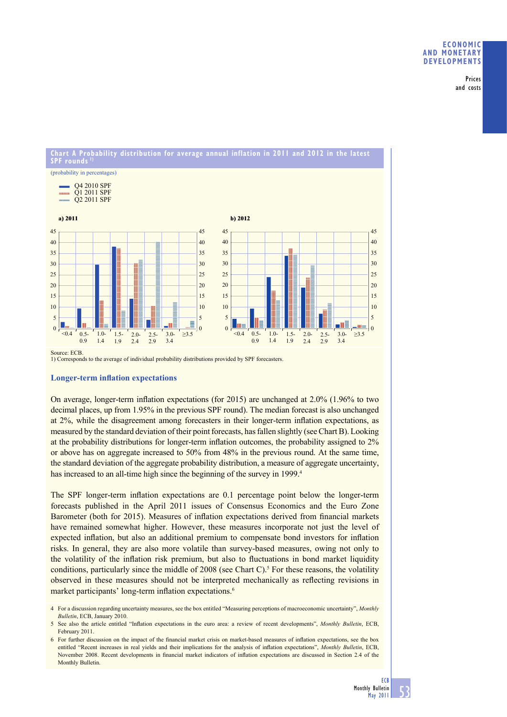Prices and costs

## **Chart A Probability distribution for average annual inflation in 2011 and 2012 in the latest SPF rounds 1)**



1) Corresponds to the average of individual probability distributions provided by SPF forecasters.

## **Longer-term inflation expectations**

On average, longer-term inflation expectations (for  $2015$ ) are unchanged at  $2.0\%$  (1.96% to two decimal places, up from 1.95% in the previous SPF round). The median forecast is also unchanged at 2%, while the disagreement among forecasters in their longer-term inflation expectations, as measured by the standard deviation of their point forecasts, has fallen slightly (see Chart B). Looking at the probability distributions for longer-term inflation outcomes, the probability assigned to 2% or above has on aggregate increased to 50% from 48% in the previous round. At the same time, the standard deviation of the aggregate probability distribution, a measure of aggregate uncertainty, has increased to an all-time high since the beginning of the survey in 1999.<sup>4</sup>

The SPF longer-term inflation expectations are 0.1 percentage point below the longer-term forecasts published in the April 2011 issues of Consensus Economics and the Euro Zone Barometer (both for 2015). Measures of inflation expectations derived from financial markets have remained somewhat higher. However, these measures incorporate not just the level of expected inflation, but also an additional premium to compensate bond investors for inflation risks. In general, they are also more volatile than survey-based measures, owing not only to the volatility of the inflation risk premium, but also to fluctuations in bond market liquidity conditions, particularly since the middle of 2008 (see Chart C).<sup>5</sup> For these reasons, the volatility observed in these measures should not be interpreted mechanically as reflecting revisions in market participants' long-term inflation expectations.<sup>6</sup>

<sup>4</sup> For a discussion regarding uncertainty measures, see the box entitled "Measuring perceptions of macroeconomic uncertainty", *Monthly Bulletin*, ECB, January 2010.

<sup>5</sup> See also the article entitled "Inflation expectations in the euro area: a review of recent developments", *Monthly Bulletin*, ECB, February 2011.

<sup>6</sup> For further discussion on the impact of the financial market crisis on market-based measures of inflation expectations, see the box entitled "Recent increases in real yields and their implications for the analysis of inflation expectations", *Monthly Bulletin*, ECB, November 2008. Recent developments in financial market indicators of inflation expectations are discussed in Section 2.4 of the Monthly Bulletin.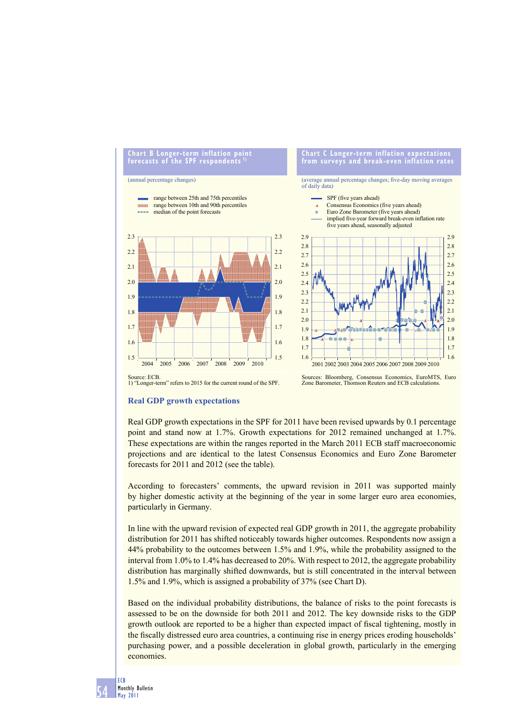

# Sources: Bloomberg, Consensus Economics, EuroMTS, Euro Zone Barometer, Thomson Reuters and ECB calculations.

# **Real GDP growth expectations**

Source: ECB. 1) "Longer-term" refers to 2015 for the current round of the SPF.

Real GDP growth expectations in the SPF for 2011 have been revised upwards by 0.1 percentage point and stand now at 1.7%. Growth expectations for 2012 remained unchanged at 1.7%. These expectations are within the ranges reported in the March 2011 ECB staff macroeconomic projections and are identical to the latest Consensus Economics and Euro Zone Barometer forecasts for 2011 and 2012 (see the table).

According to forecasters' comments, the upward revision in 2011 was supported mainly by higher domestic activity at the beginning of the year in some larger euro area economies, particularly in Germany.

In line with the upward revision of expected real GDP growth in 2011, the aggregate probability distribution for 2011 has shifted noticeably towards higher outcomes. Respondents now assign a 44% probability to the outcomes between 1.5% and 1.9%, while the probability assigned to the interval from 1.0% to 1.4% has decreased to 20%. With respect to 2012, the aggregate probability distribution has marginally shifted downwards, but is still concentrated in the interval between 1.5% and 1.9%, which is assigned a probability of 37% (see Chart D).

Based on the individual probability distributions, the balance of risks to the point forecasts is assessed to be on the downside for both 2011 and 2012. The key downside risks to the GDP growth outlook are reported to be a higher than expected impact of fiscal tightening, mostly in the fiscally distressed euro area countries, a continuing rise in energy prices eroding households' purchasing power, and a possible deceleration in global growth, particularly in the emerging economies.